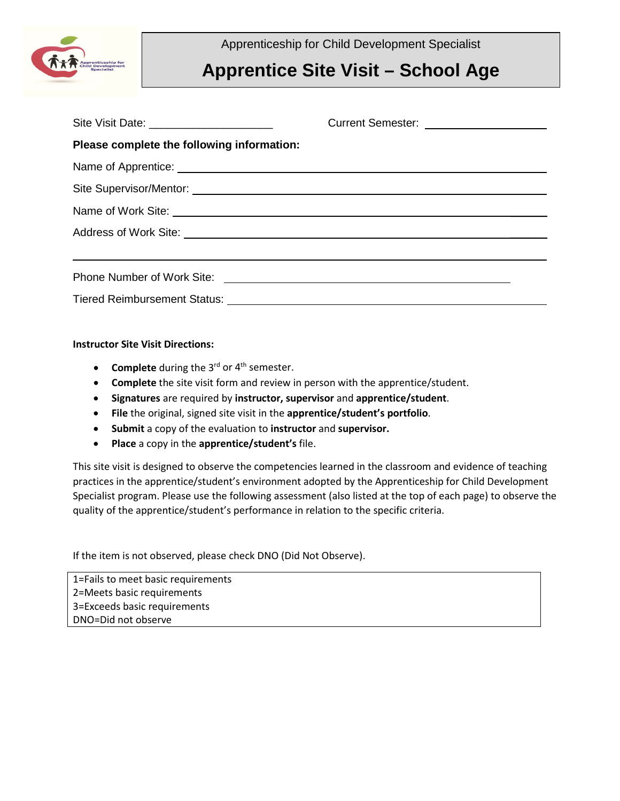

Apprenticeship for Child Development Specialist

## **Apprentice Site Visit – School Age**

|                                            | Current Semester: _____________________ |
|--------------------------------------------|-----------------------------------------|
| Please complete the following information: |                                         |
|                                            |                                         |
|                                            |                                         |
|                                            |                                         |
|                                            |                                         |
|                                            |                                         |
|                                            |                                         |
|                                            |                                         |

## **Instructor Site Visit Directions:**

- **Complete** during the 3<sup>rd</sup> or 4<sup>th</sup> semester.
- **Complete** the site visit form and review in person with the apprentice/student.
- **Signatures** are required by **instructor, supervisor** and **apprentice/student**.
- **File** the original, signed site visit in the **apprentice/student's portfolio**.
- **Submit** a copy of the evaluation to **instructor** and **supervisor.**
- **Place** a copy in the **apprentice/student's** file.

This site visit is designed to observe the competencies learned in the classroom and evidence of teaching practices in the apprentice/student's environment adopted by the Apprenticeship for Child Development Specialist program. Please use the following assessment (also listed at the top of each page) to observe the quality of the apprentice/student's performance in relation to the specific criteria.

If the item is not observed, please check DNO (Did Not Observe).

1=Fails to meet basic requirements 2=Meets basic requirements 3=Exceeds basic requirements DNO=Did not observe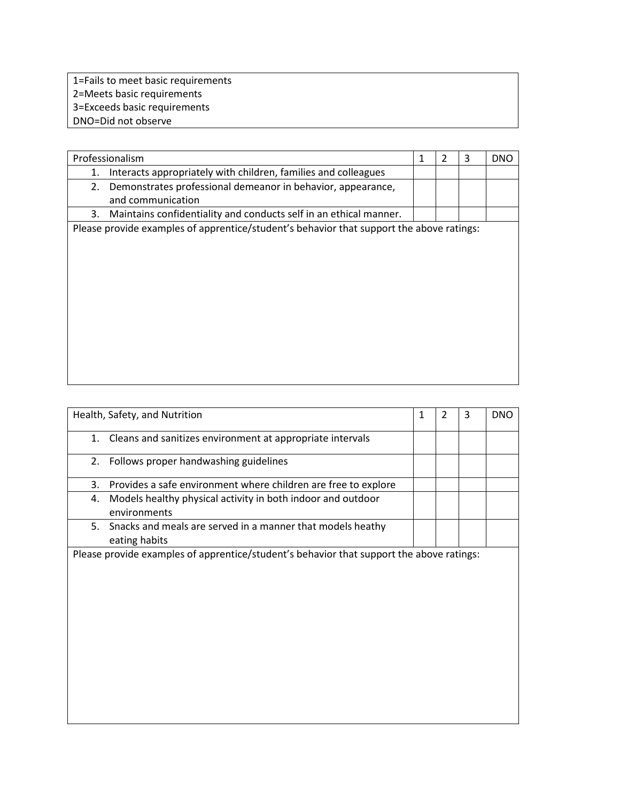| 1=Fails to meet basic requirements |
|------------------------------------|
| 2=Meets basic requirements         |
| 3=Exceeds basic requirements       |
| DNO=Did not observe                |

|    | Professionalism                                                                          | 1 | 2 | 3 | <b>DNO</b> |
|----|------------------------------------------------------------------------------------------|---|---|---|------------|
| 1. | Interacts appropriately with children, families and colleagues                           |   |   |   |            |
| 2. | Demonstrates professional demeanor in behavior, appearance,                              |   |   |   |            |
|    | and communication                                                                        |   |   |   |            |
| 3. | Maintains confidentiality and conducts self in an ethical manner.                        |   |   |   |            |
|    | Please provide examples of apprentice/student's behavior that support the above ratings: |   |   |   |            |
|    |                                                                                          |   |   |   |            |
|    |                                                                                          |   |   |   |            |
|    |                                                                                          |   |   |   |            |
|    |                                                                                          |   |   |   |            |
|    |                                                                                          |   |   |   |            |
|    |                                                                                          |   |   |   |            |
|    |                                                                                          |   |   |   |            |
|    |                                                                                          |   |   |   |            |
|    |                                                                                          |   |   |   |            |
|    |                                                                                          |   |   |   |            |
|    |                                                                                          |   |   |   |            |

| Health, Safety, and Nutrition                                                            | 1 | $\mathcal{P}$ | 3 | <b>DNO</b> |
|------------------------------------------------------------------------------------------|---|---------------|---|------------|
| Cleans and sanitizes environment at appropriate intervals<br>1.                          |   |               |   |            |
| 2. Follows proper handwashing guidelines                                                 |   |               |   |            |
| Provides a safe environment where children are free to explore<br>3.                     |   |               |   |            |
| Models healthy physical activity in both indoor and outdoor<br>4.<br>environments        |   |               |   |            |
| Snacks and meals are served in a manner that models heathy<br>5.<br>eating habits        |   |               |   |            |
| Please provide examples of apprentice/student's behavior that support the above ratings: |   |               |   |            |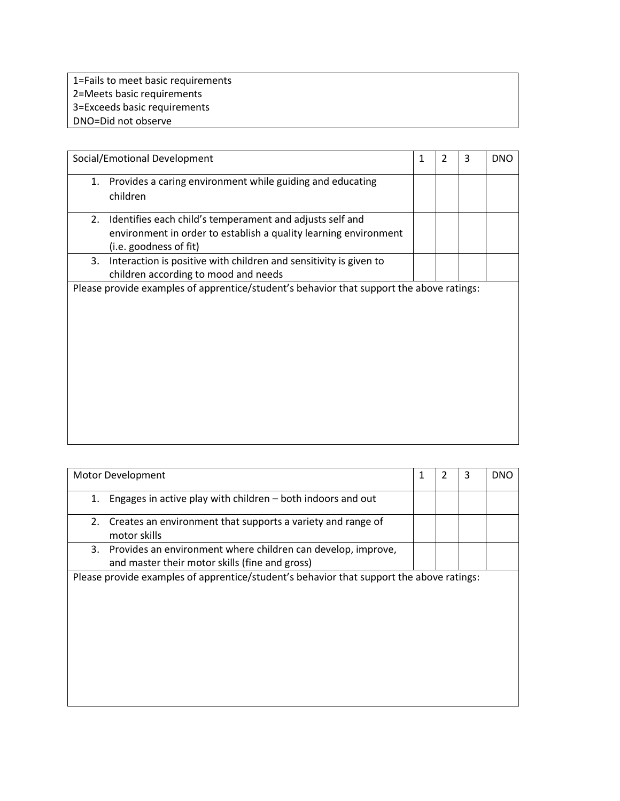1=Fails to meet basic requirements 2=Meets basic requirements 3=Exceeds basic requirements DNO=Did not observe

| Social/Emotional Development                                                                                                                                 | $\mathbf{1}$ | $\overline{2}$ | 3 | <b>DNO</b> |
|--------------------------------------------------------------------------------------------------------------------------------------------------------------|--------------|----------------|---|------------|
| 1. Provides a caring environment while guiding and educating<br>children                                                                                     |              |                |   |            |
| Identifies each child's temperament and adjusts self and<br>2.<br>environment in order to establish a quality learning environment<br>(i.e. goodness of fit) |              |                |   |            |
| Interaction is positive with children and sensitivity is given to<br>3.<br>children according to mood and needs                                              |              |                |   |            |
| Please provide examples of apprentice/student's behavior that support the above ratings:                                                                     |              |                |   |            |

| Motor Development |                                                                                                                   | 1 | 2 | 3 | <b>DNO</b> |
|-------------------|-------------------------------------------------------------------------------------------------------------------|---|---|---|------------|
| 1.                | Engages in active play with children – both indoors and out                                                       |   |   |   |            |
| 2.                | Creates an environment that supports a variety and range of<br>motor skills                                       |   |   |   |            |
|                   | 3. Provides an environment where children can develop, improve,<br>and master their motor skills (fine and gross) |   |   |   |            |
|                   | Please provide examples of apprentice/student's behavior that support the above ratings:                          |   |   |   |            |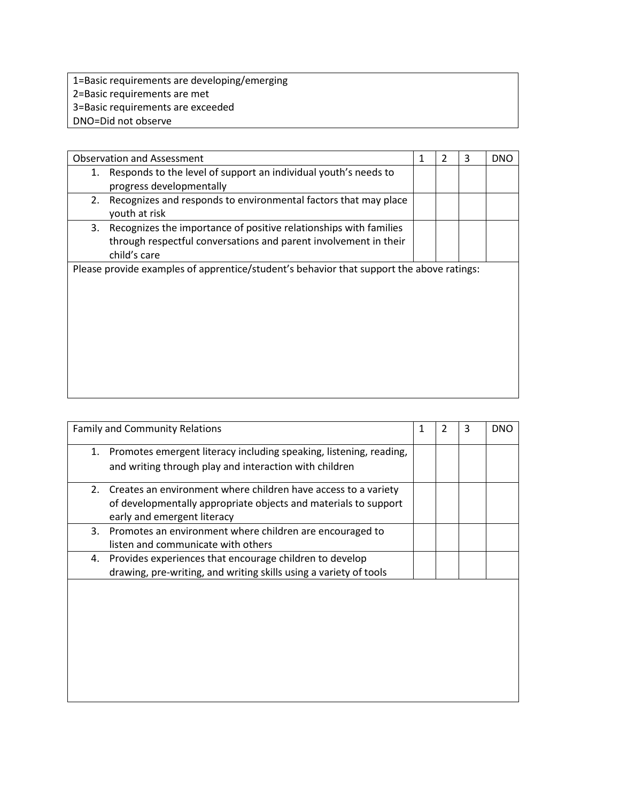- 1=Basic requirements are developing/emerging 2=Basic requirements are met 3=Basic requirements are exceeded
- DNO=Did not observe

|                                                                                          | <b>Observation and Assessment</b>                                 | 1 | 2 | 3 | <b>DNO</b> |
|------------------------------------------------------------------------------------------|-------------------------------------------------------------------|---|---|---|------------|
| 1.                                                                                       | Responds to the level of support an individual youth's needs to   |   |   |   |            |
|                                                                                          | progress developmentally                                          |   |   |   |            |
| 2.                                                                                       | Recognizes and responds to environmental factors that may place   |   |   |   |            |
|                                                                                          | youth at risk                                                     |   |   |   |            |
| 3.                                                                                       | Recognizes the importance of positive relationships with families |   |   |   |            |
|                                                                                          | through respectful conversations and parent involvement in their  |   |   |   |            |
|                                                                                          | child's care                                                      |   |   |   |            |
| Please provide examples of apprentice/student's behavior that support the above ratings: |                                                                   |   |   |   |            |
|                                                                                          |                                                                   |   |   |   |            |
|                                                                                          |                                                                   |   |   |   |            |
|                                                                                          |                                                                   |   |   |   |            |
|                                                                                          |                                                                   |   |   |   |            |
|                                                                                          |                                                                   |   |   |   |            |
|                                                                                          |                                                                   |   |   |   |            |
|                                                                                          |                                                                   |   |   |   |            |
|                                                                                          |                                                                   |   |   |   |            |
|                                                                                          |                                                                   |   |   |   |            |

|    | <b>Family and Community Relations</b>                                                                                                                            | 1 | $\overline{2}$ | 3 | <b>DNO</b> |
|----|------------------------------------------------------------------------------------------------------------------------------------------------------------------|---|----------------|---|------------|
|    | 1. Promotes emergent literacy including speaking, listening, reading,<br>and writing through play and interaction with children                                  |   |                |   |            |
| 2. | Creates an environment where children have access to a variety<br>of developmentally appropriate objects and materials to support<br>early and emergent literacy |   |                |   |            |
|    | 3. Promotes an environment where children are encouraged to<br>listen and communicate with others                                                                |   |                |   |            |
| 4. | Provides experiences that encourage children to develop<br>drawing, pre-writing, and writing skills using a variety of tools                                     |   |                |   |            |
|    |                                                                                                                                                                  |   |                |   |            |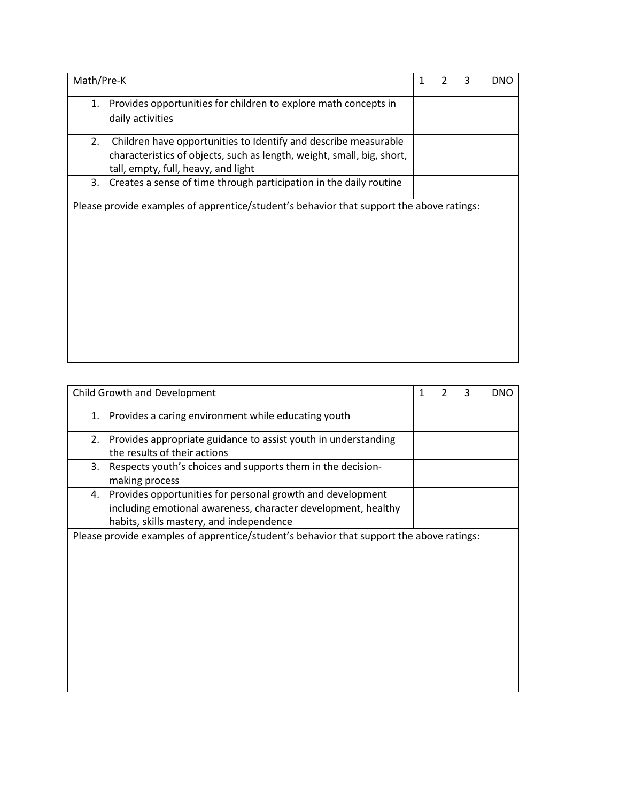| Math/Pre-K                                                                                                                                                                             | 1 | $\overline{2}$ | 3 | <b>DNO</b> |
|----------------------------------------------------------------------------------------------------------------------------------------------------------------------------------------|---|----------------|---|------------|
| Provides opportunities for children to explore math concepts in<br>1.<br>daily activities                                                                                              |   |                |   |            |
| Children have opportunities to Identify and describe measurable<br>2.<br>characteristics of objects, such as length, weight, small, big, short,<br>tall, empty, full, heavy, and light |   |                |   |            |
| Creates a sense of time through participation in the daily routine<br>3.                                                                                                               |   |                |   |            |
| Please provide examples of apprentice/student's behavior that support the above ratings:                                                                                               |   |                |   |            |

| Child Growth and Development                                                                                                                                                  | $\mathbf{1}$ | $\overline{2}$ | 3 | <b>DNO</b> |
|-------------------------------------------------------------------------------------------------------------------------------------------------------------------------------|--------------|----------------|---|------------|
| 1. Provides a caring environment while educating youth                                                                                                                        |              |                |   |            |
| Provides appropriate guidance to assist youth in understanding<br>2.<br>the results of their actions                                                                          |              |                |   |            |
| Respects youth's choices and supports them in the decision-<br>3.<br>making process                                                                                           |              |                |   |            |
| Provides opportunities for personal growth and development<br>4.<br>including emotional awareness, character development, healthy<br>habits, skills mastery, and independence |              |                |   |            |
| Please provide examples of apprentice/student's behavior that support the above ratings:                                                                                      |              |                |   |            |